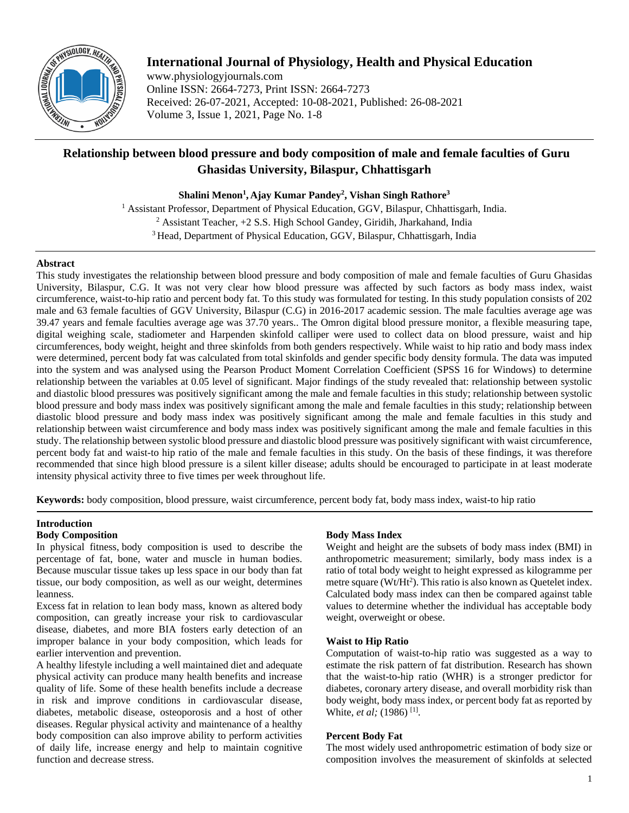

# **International Journal of Physiology, Health and Physical Education**

www.physiologyjournals.com Online ISSN: 2664-7273, Print ISSN: 2664-7273 Received: 26-07-2021, Accepted: 10-08-2021, Published: 26-08-2021 Volume 3, Issue 1, 2021, Page No. 1-8

# **Relationship between blood pressure and body composition of male and female faculties of Guru Ghasidas University, Bilaspur, Chhattisgarh**

**Shalini Menon<sup>1</sup> , Ajay Kumar Pandey<sup>2</sup> , Vishan Singh Rathore<sup>3</sup>**

<sup>1</sup> Assistant Professor, Department of Physical Education, GGV, Bilaspur, Chhattisgarh, India. 2 Assistant Teacher, +2 S.S. High School Gandey, Giridih, Jharkahand, India <sup>3</sup> Head, Department of Physical Education, GGV, Bilaspur, Chhattisgarh, India

# **Abstract**

This study investigates the relationship between blood pressure and body composition of male and female faculties of Guru Ghasidas University, Bilaspur, C.G. It was not very clear how blood pressure was affected by such factors as body mass index, waist circumference, waist-to-hip ratio and percent body fat. To this study was formulated for testing. In this study population consists of 202 male and 63 female faculties of GGV University, Bilaspur (C.G) in 2016-2017 academic session. The male faculties average age was 39.47 years and female faculties average age was 37.70 years.. The Omron digital blood pressure monitor, a flexible measuring tape, digital weighing scale, stadiometer and Harpenden skinfold calliper were used to collect data on blood pressure, waist and hip circumferences, body weight, height and three skinfolds from both genders respectively. While waist to hip ratio and body mass index were determined, percent body fat was calculated from total skinfolds and gender specific body density formula. The data was imputed into the system and was analysed using the Pearson Product Moment Correlation Coefficient (SPSS 16 for Windows) to determine relationship between the variables at 0.05 level of significant. Major findings of the study revealed that: relationship between systolic and diastolic blood pressures was positively significant among the male and female faculties in this study; relationship between systolic blood pressure and body mass index was positively significant among the male and female faculties in this study; relationship between diastolic blood pressure and body mass index was positively significant among the male and female faculties in this study and relationship between waist circumference and body mass index was positively significant among the male and female faculties in this study. The relationship between systolic blood pressure and diastolic blood pressure was positively significant with waist circumference, percent body fat and waist-to hip ratio of the male and female faculties in this study. On the basis of these findings, it was therefore recommended that since high blood pressure is a silent killer disease; adults should be encouraged to participate in at least moderate intensity physical activity three to five times per week throughout life.

**Keywords:** body composition, blood pressure, waist circumference, percent body fat, body mass index, waist-to hip ratio

#### **Introduction Body Composition**

In physical fitness, body composition is used to describe the percentage of fat, bone, water and muscle in human bodies. Because muscular tissue takes up less space in our body than fat tissue, our body composition, as well as our weight, determines leanness.

Excess fat in relation to lean body mass, known as altered body composition, can greatly increase your risk to cardiovascular disease, diabetes, and more BIA fosters early detection of an improper balance in your body composition, which leads for earlier intervention and prevention.

A healthy lifestyle including a well maintained diet and adequate physical activity can produce many health benefits and increase quality of life. Some of these health benefits include a decrease in risk and improve conditions in cardiovascular disease, diabetes, metabolic disease, osteoporosis and a host of other diseases. Regular physical activity and maintenance of a healthy body composition can also improve ability to perform activities of daily life, increase energy and help to maintain cognitive function and decrease stress.

# **Body Mass Index**

Weight and height are the subsets of body mass index (BMI) in anthropometric measurement; similarly, body mass index is a ratio of total body weight to height expressed as kilogramme per metre square ( $Wt/Ht^2$ ). This ratio is also known as Quetelet index. Calculated body mass index can then be compared against table values to determine whether the individual has acceptable body weight, overweight or obese.

## **Waist to Hip Ratio**

Computation of waist-to-hip ratio was suggested as a way to estimate the risk pattern of fat distribution. Research has shown that the waist-to-hip ratio (WHR) is a stronger predictor for diabetes, coronary artery disease, and overall morbidity risk than body weight, body mass index, or percent body fat as reported by White, *et al*; (1986)<sup>[1]</sup>.

## **Percent Body Fat**

The most widely used anthropometric estimation of body size or composition involves the measurement of skinfolds at selected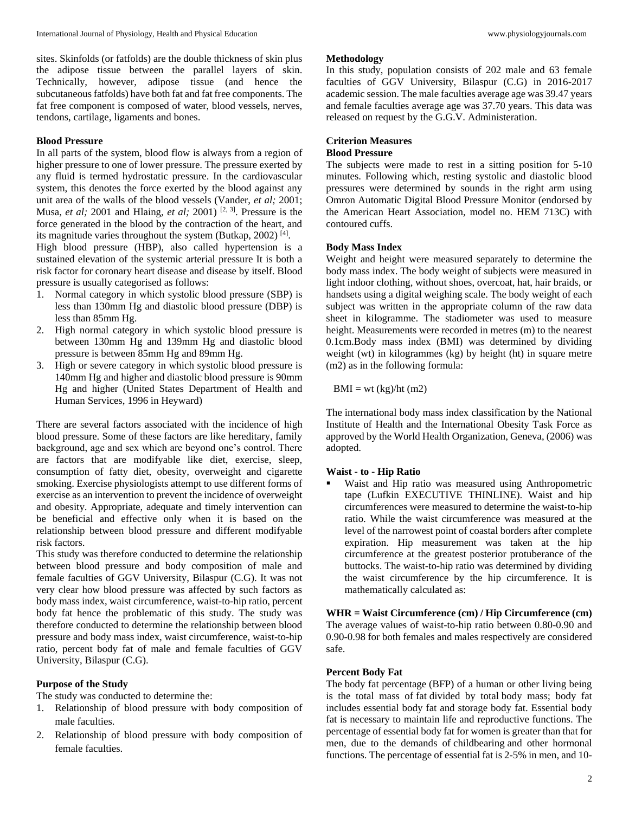sites. Skinfolds (or fatfolds) are the double thickness of skin plus the adipose tissue between the parallel layers of skin. Technically, however, adipose tissue (and hence the subcutaneous fatfolds) have both fat and fat free components. The fat free component is composed of water, blood vessels, nerves, tendons, cartilage, ligaments and bones.

# **Blood Pressure**

In all parts of the system, blood flow is always from a region of higher pressure to one of lower pressure. The pressure exerted by any fluid is termed hydrostatic pressure. In the cardiovascular system, this denotes the force exerted by the blood against any unit area of the walls of the blood vessels (Vander, *et al;* 2001; Musa, *et al;* 2001 and Hlaing, *et al;* 2001) [2, 3]. Pressure is the force generated in the blood by the contraction of the heart, and its magnitude varies throughout the system (Butkap, 2002)<sup>[4]</sup>.

High blood pressure (HBP), also called hypertension is a sustained elevation of the systemic arterial pressure It is both a risk factor for coronary heart disease and disease by itself. Blood pressure is usually categorised as follows:

- 1. Normal category in which systolic blood pressure (SBP) is less than 130mm Hg and diastolic blood pressure (DBP) is less than 85mm Hg.
- 2. High normal category in which systolic blood pressure is between 130mm Hg and 139mm Hg and diastolic blood pressure is between 85mm Hg and 89mm Hg.
- 3. High or severe category in which systolic blood pressure is 140mm Hg and higher and diastolic blood pressure is 90mm Hg and higher (United States Department of Health and Human Services, 1996 in Heyward)

There are several factors associated with the incidence of high blood pressure. Some of these factors are like hereditary, family background, age and sex which are beyond one's control. There are factors that are modifyable like diet, exercise, sleep, consumption of fatty diet, obesity, overweight and cigarette smoking. Exercise physiologists attempt to use different forms of exercise as an intervention to prevent the incidence of overweight and obesity. Appropriate, adequate and timely intervention can be beneficial and effective only when it is based on the relationship between blood pressure and different modifyable risk factors.

This study was therefore conducted to determine the relationship between blood pressure and body composition of male and female faculties of GGV University, Bilaspur (C.G). It was not very clear how blood pressure was affected by such factors as body mass index, waist circumference, waist-to-hip ratio, percent body fat hence the problematic of this study. The study was therefore conducted to determine the relationship between blood pressure and body mass index, waist circumference, waist-to-hip ratio, percent body fat of male and female faculties of GGV University, Bilaspur (C.G).

# **Purpose of the Study**

The study was conducted to determine the:

- 1. Relationship of blood pressure with body composition of male faculties.
- 2. Relationship of blood pressure with body composition of female faculties.

#### **Methodology**

In this study, population consists of 202 male and 63 female faculties of GGV University, Bilaspur (C.G) in 2016-2017 academic session. The male faculties average age was 39.47 years and female faculties average age was 37.70 years. This data was released on request by the G.G.V. Administeration.

#### **Criterion Measures Blood Pressure**

The subjects were made to rest in a sitting position for 5-10 minutes. Following which, resting systolic and diastolic blood pressures were determined by sounds in the right arm using Omron Automatic Digital Blood Pressure Monitor (endorsed by the American Heart Association, model no. HEM 713C) with contoured cuffs.

# **Body Mass Index**

Weight and height were measured separately to determine the body mass index. The body weight of subjects were measured in light indoor clothing, without shoes, overcoat, hat, hair braids, or handsets using a digital weighing scale. The body weight of each subject was written in the appropriate column of the raw data sheet in kilogramme. The stadiometer was used to measure height. Measurements were recorded in metres (m) to the nearest 0.1cm.Body mass index (BMI) was determined by dividing weight (wt) in kilogrammes (kg) by height (ht) in square metre (m2) as in the following formula:

 $BMI = wt (kg)/ht (m2)$ 

The international body mass index classification by the National Institute of Health and the International Obesity Task Force as approved by the World Health Organization, Geneva, (2006) was adopted.

#### **Waist - to - Hip Ratio**

 Waist and Hip ratio was measured using Anthropometric tape (Lufkin EXECUTIVE THINLINE). Waist and hip circumferences were measured to determine the waist-to-hip ratio. While the waist circumference was measured at the level of the narrowest point of coastal borders after complete expiration. Hip measurement was taken at the hip circumference at the greatest posterior protuberance of the buttocks. The waist-to-hip ratio was determined by dividing the waist circumference by the hip circumference. It is mathematically calculated as:

**WHR = Waist Circumference (cm) / Hip Circumference (cm)** The average values of waist-to-hip ratio between 0.80-0.90 and 0.90-0.98 for both females and males respectively are considered safe.

#### **Percent Body Fat**

The body fat percentage (BFP) of a human or other living being is the total mass of fat divided by total body mass; body fat includes essential body fat and storage body fat. Essential body fat is necessary to maintain life and reproductive functions. The percentage of essential body fat for women is greater than that for men, due to the demands of childbearing and other hormonal functions. The percentage of essential fat is 2-5% in men, and 10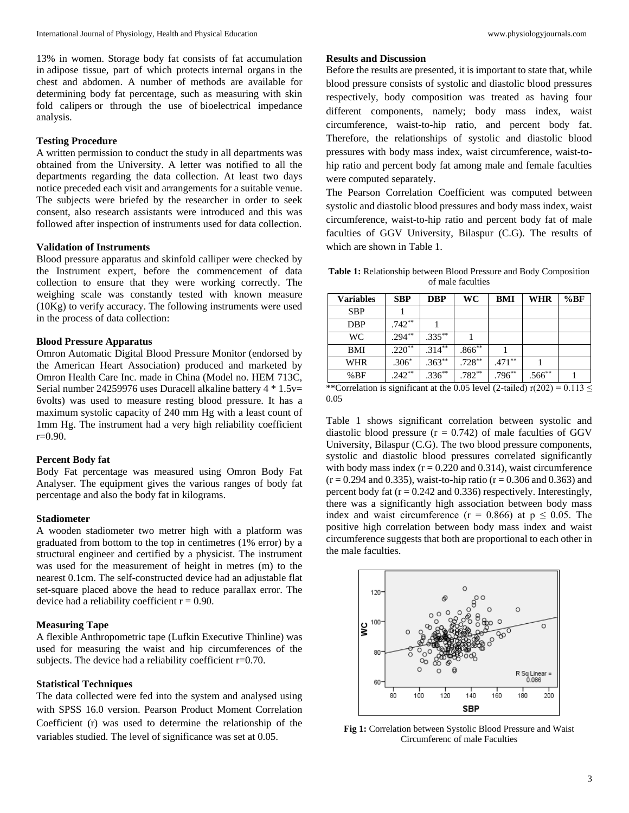13% in women. Storage body fat consists of fat accumulation in adipose tissue, part of which protects internal organs in the chest and abdomen. A number of methods are available for determining body fat percentage, such as measuring with skin fold calipers or through the use of bioelectrical impedance analysis.

# **Testing Procedure**

A written permission to conduct the study in all departments was obtained from the University. A letter was notified to all the departments regarding the data collection. At least two days notice preceded each visit and arrangements for a suitable venue. The subjects were briefed by the researcher in order to seek consent, also research assistants were introduced and this was followed after inspection of instruments used for data collection.

# **Validation of Instruments**

Blood pressure apparatus and skinfold calliper were checked by the Instrument expert, before the commencement of data collection to ensure that they were working correctly. The weighing scale was constantly tested with known measure  $(10Kg)$  to verify accuracy. The following instruments were used in the process of data collection:

## **Blood Pressure Apparatus**

Omron Automatic Digital Blood Pressure Monitor (endorsed by the American Heart Association) produced and marketed by Omron Health Care Inc. made in China (Model no. HEM 713C, Serial number 24259976 uses Duracell alkaline battery 4 \* 1.5v= 6volts) was used to measure resting blood pressure. It has a maximum systolic capacity of 240 mm Hg with a least count of 1mm Hg. The instrument had a very high reliability coefficient r=0.90.

#### **Percent Body fat**

Body Fat percentage was measured using Omron Body Fat Analyser. The equipment gives the various ranges of body fat percentage and also the body fat in kilograms.

# **Stadiometer**

A wooden stadiometer two metrer high with a platform was graduated from bottom to the top in centimetres (1% error) by a structural engineer and certified by a physicist. The instrument was used for the measurement of height in metres (m) to the nearest 0.1cm. The self-constructed device had an adjustable flat set-square placed above the head to reduce parallax error. The device had a reliability coefficient  $r = 0.90$ .

#### **Measuring Tape**

A flexible Anthropometric tape (Lufkin Executive Thinline) was used for measuring the waist and hip circumferences of the subjects. The device had a reliability coefficient r=0.70.

## **Statistical Techniques**

The data collected were fed into the system and analysed using with SPSS 16.0 version. Pearson Product Moment Correlation Coefficient (r) was used to determine the relationship of the variables studied. The level of significance was set at 0.05.

## **Results and Discussion**

Before the results are presented, it is important to state that, while blood pressure consists of systolic and diastolic blood pressures respectively, body composition was treated as having four different components, namely; body mass index, waist circumference, waist-to-hip ratio, and percent body fat. Therefore, the relationships of systolic and diastolic blood pressures with body mass index, waist circumference, waist-tohip ratio and percent body fat among male and female faculties were computed separately.

The Pearson Correlation Coefficient was computed between systolic and diastolic blood pressures and body mass index, waist circumference, waist-to-hip ratio and percent body fat of male faculties of GGV University, Bilaspur (C.G). The results of which are shown in Table 1.

**Table 1:** Relationship between Blood Pressure and Body Composition of male faculties

| <b>Variables</b> | <b>SBP</b>        | <b>DBP</b> | WC          | <b>BMI</b> | WHR         | %BF |
|------------------|-------------------|------------|-------------|------------|-------------|-----|
| <b>SBP</b>       |                   |            |             |            |             |     |
| <b>DBP</b>       | $.742^{**}$       |            |             |            |             |     |
| WC               | $.294***$         | $.335***$  |             |            |             |     |
| <b>BMI</b>       | $.220^{\ast\ast}$ | $.314***$  | $.866^{**}$ |            |             |     |
| <b>WHR</b>       | $.306*$           | $.363***$  | $.728***$   | $.471***$  |             |     |
| %BF              | $242^{**}$        | $336^{**}$ | $.782***$   | $.796***$  | $.566^{**}$ |     |

<sup>\*\*</sup>Correlation is significant at the 0.05 level (2-tailed) r(202) =  $0.113 \le$ 0.05

Table 1 shows significant correlation between systolic and diastolic blood pressure  $(r = 0.742)$  of male faculties of GGV University, Bilaspur (C.G). The two blood pressure components, systolic and diastolic blood pressures correlated significantly with body mass index  $(r = 0.220$  and 0.314), waist circumference  $(r = 0.294$  and 0.335), waist-to-hip ratio  $(r = 0.306$  and 0.363) and percent body fat  $(r = 0.242$  and 0.336) respectively. Interestingly, there was a significantly high association between body mass index and waist circumference ( $r = 0.866$ ) at  $p \le 0.05$ . The positive high correlation between body mass index and waist circumference suggests that both are proportional to each other in the male faculties.



**Fig 1:** Correlation between Systolic Blood Pressure and Waist Circumferenc of male Faculties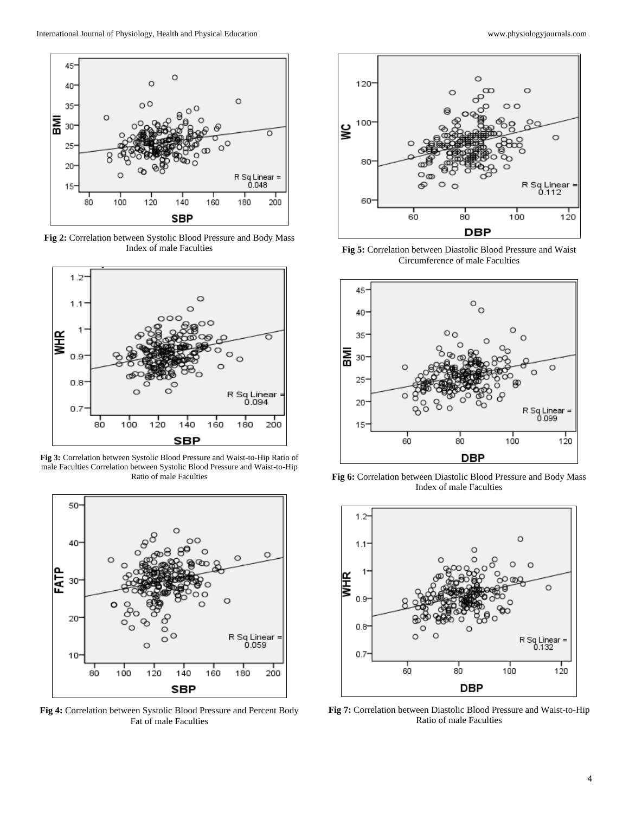

**Fig 2:** Correlation between Systolic Blood Pressure and Body Mass Index of male Faculties



**Fig 3:** Correlation between Systolic Blood Pressure and Waist-to-Hip Ratio of male Faculties Correlation between Systolic Blood Pressure and Waist-to-Hip Ratio of male Faculties



**Fig 4:** Correlation between Systolic Blood Pressure and Percent Body Fat of male Faculties



**Fig 5:** Correlation between Diastolic Blood Pressure and Waist Circumference of male Faculties



**Fig 6:** Correlation between Diastolic Blood Pressure and Body Mass Index of male Faculties



**Fig 7:** Correlation between Diastolic Blood Pressure and Waist-to-Hip Ratio of male Faculties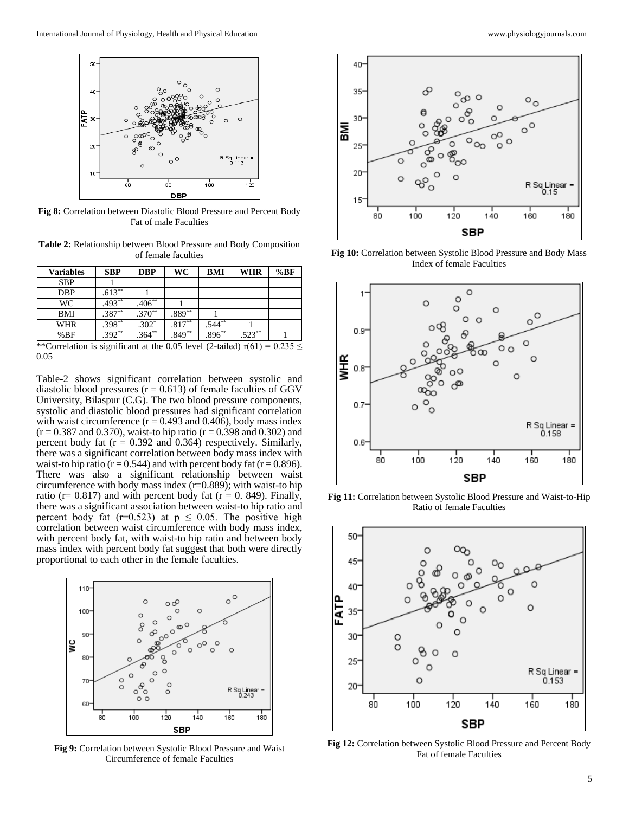

**Fig 8:** Correlation between Diastolic Blood Pressure and Percent Body Fat of male Faculties

**Table 2:** Relationship between Blood Pressure and Body Composition of female faculties

| <b>Variables</b>       | <b>SBP</b>    | <b>DBP</b> | WC       | <b>BMI</b>              | <b>WHR</b> | %BF   |
|------------------------|---------------|------------|----------|-------------------------|------------|-------|
| <b>SBP</b>             |               |            |          |                         |            |       |
| <b>DBP</b>             | $.613**$      |            |          |                         |            |       |
| WC                     | $.493**$      | $.406**$   |          |                         |            |       |
| BMI                    | $.387**$      | $.370**$   | .889**   |                         |            |       |
| <b>WHR</b>             | $.398**$      | $.302*$    | $.817**$ | $.544**$                |            |       |
| %BF                    | $.392**$      | $.364***$  | $.849**$ | $.896***$               | $.523**$   |       |
| 1.1.77<br>$\mathbf{r}$ | $\cdots$<br>٠ |            | 0.071    | $1 / 2$ $1 / 1$ $1 / 2$ |            | 0.225 |

\*\*Correlation is significant at the 0.05 level (2-tailed)  $r(61) = 0.235 \le$ 0.05

Table-2 shows significant correlation between systolic and diastolic blood pressures ( $r = 0.613$ ) of female faculties of GGV University, Bilaspur (C.G). The two blood pressure components, systolic and diastolic blood pressures had significant correlation with waist circumference ( $r = 0.493$  and 0.406), body mass index  $(r = 0.387$  and 0.370), waist-to hip ratio  $(r = 0.398$  and 0.302) and percent body fat  $(r = 0.392$  and 0.364) respectively. Similarly, there was a significant correlation between body mass index with waist-to hip ratio ( $r = 0.544$ ) and with percent body fat ( $r = 0.896$ ). There was also a significant relationship between waist circumference with body mass index (r=0.889); with waist-to hip ratio (r=  $0.817$ ) and with percent body fat (r = 0. 849). Finally, there was a significant association between waist-to hip ratio and percent body fat (r=0.523) at  $p \le 0.05$ . The positive high correlation between waist circumference with body mass index, with percent body fat, with waist-to hip ratio and between body mass index with percent body fat suggest that both were directly proportional to each other in the female faculties.



**Fig 9:** Correlation between Systolic Blood Pressure and Waist Circumference of female Faculties



**Fig 10:** Correlation between Systolic Blood Pressure and Body Mass Index of female Faculties



**Fig 11:** Correlation between Systolic Blood Pressure and Waist-to-Hip Ratio of female Faculties



**Fig 12:** Correlation between Systolic Blood Pressure and Percent Body Fat of female Faculties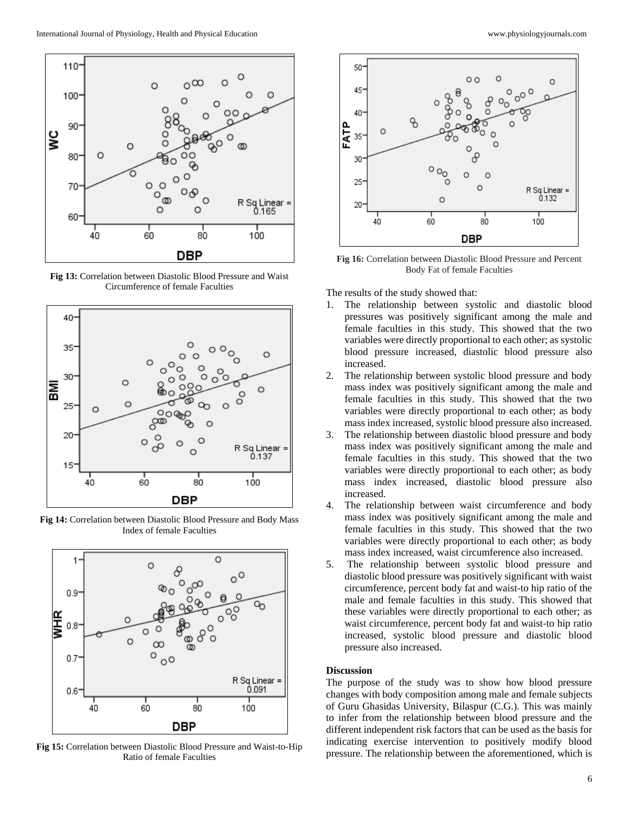

**Fig 13:** Correlation between Diastolic Blood Pressure and Waist Circumference of female Faculties



**Fig 14:** Correlation between Diastolic Blood Pressure and Body Mass Index of female Faculties



**Fig 15:** Correlation between Diastolic Blood Pressure and Waist-to-Hip Ratio of female Faculties



**Fig 16:** Correlation between Diastolic Blood Pressure and Percent Body Fat of female Faculties

The results of the study showed that:

- 1. The relationship between systolic and diastolic blood pressures was positively significant among the male and female faculties in this study. This showed that the two variables were directly proportional to each other; as systolic blood pressure increased, diastolic blood pressure also increased.
- 2. The relationship between systolic blood pressure and body mass index was positively significant among the male and female faculties in this study. This showed that the two variables were directly proportional to each other; as body mass index increased, systolic blood pressure also increased.
- 3. The relationship between diastolic blood pressure and body mass index was positively significant among the male and female faculties in this study. This showed that the two variables were directly proportional to each other; as body mass index increased, diastolic blood pressure also increased.
- 4. The relationship between waist circumference and body mass index was positively significant among the male and female faculties in this study. This showed that the two variables were directly proportional to each other; as body mass index increased, waist circumference also increased.
- 5. The relationship between systolic blood pressure and diastolic blood pressure was positively significant with waist circumference, percent body fat and waist-to hip ratio of the male and female faculties in this study. This showed that these variables were directly proportional to each other; as waist circumference, percent body fat and waist-to hip ratio increased, systolic blood pressure and diastolic blood pressure also increased.

## **Discussion**

The purpose of the study was to show how blood pressure changes with body composition among male and female subjects of Guru Ghasidas University, Bilaspur (C.G.). This was mainly to infer from the relationship between blood pressure and the different independent risk factors that can be used as the basis for indicating exercise intervention to positively modify blood pressure. The relationship between the aforementioned, which is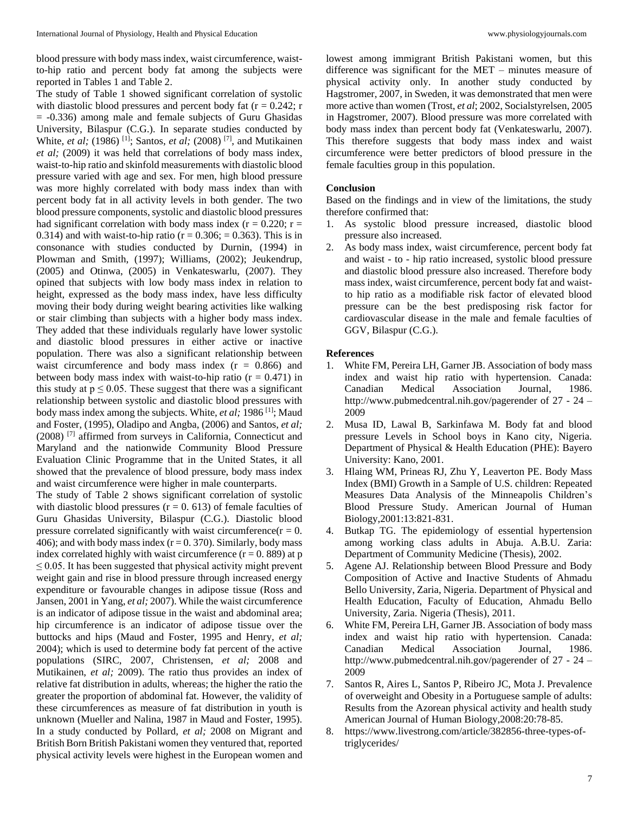blood pressure with body mass index, waist circumference, waistto-hip ratio and percent body fat among the subjects were reported in Tables 1 and Table 2.

The study of Table 1 showed significant correlation of systolic with diastolic blood pressures and percent body fat  $(r = 0.242; r)$ = -0.336) among male and female subjects of Guru Ghasidas University, Bilaspur (C.G.). In separate studies conducted by White, *et al;* (1986) <sup>[1]</sup>; Santos, *et al;* (2008) <sup>[7]</sup>, and Mutikainen *et al;* (2009) it was held that correlations of body mass index, waist-to-hip ratio and skinfold measurements with diastolic blood pressure varied with age and sex. For men, high blood pressure was more highly correlated with body mass index than with percent body fat in all activity levels in both gender. The two blood pressure components, systolic and diastolic blood pressures had significant correlation with body mass index ( $r = 0.220$ ;  $r =$ 0.314) and with waist-to-hip ratio ( $r = 0.306$ ;  $= 0.363$ ). This is in consonance with studies conducted by Durnin, (1994) in Plowman and Smith, (1997); Williams, (2002); Jeukendrup, (2005) and Otinwa, (2005) in Venkateswarlu, (2007). They opined that subjects with low body mass index in relation to height, expressed as the body mass index, have less difficulty moving their body during weight bearing activities like walking or stair climbing than subjects with a higher body mass index. They added that these individuals regularly have lower systolic and diastolic blood pressures in either active or inactive population. There was also a significant relationship between waist circumference and body mass index  $(r = 0.866)$  and between body mass index with waist-to-hip ratio  $(r = 0.471)$  in this study at  $p \le 0.05$ . These suggest that there was a significant relationship between systolic and diastolic blood pressures with body mass index among the subjects. White, *et al;* 1986 [1]; Maud and Foster, (1995), Oladipo and Angba, (2006) and Santos, *et al;*  (2008) [7] affirmed from surveys in California, Connecticut and Maryland and the nationwide Community Blood Pressure Evaluation Clinic Programme that in the United States, it all showed that the prevalence of blood pressure, body mass index and waist circumference were higher in male counterparts.

The study of Table 2 shows significant correlation of systolic with diastolic blood pressures  $(r = 0.613)$  of female faculties of Guru Ghasidas University, Bilaspur (C.G.). Diastolic blood pressure correlated significantly with waist circumference( $r = 0$ . 406); and with body mass index  $(r = 0.370)$ . Similarly, body mass index correlated highly with waist circumference  $(r = 0.889)$  at p  $\leq$  0.05. It has been suggested that physical activity might prevent weight gain and rise in blood pressure through increased energy expenditure or favourable changes in adipose tissue (Ross and Jansen, 2001 in Yang, *et al;* 2007). While the waist circumference is an indicator of adipose tissue in the waist and abdominal area; hip circumference is an indicator of adipose tissue over the buttocks and hips (Maud and Foster, 1995 and Henry, *et al;*  2004); which is used to determine body fat percent of the active populations (SIRC, 2007, Christensen, *et al;* 2008 and Mutikainen, *et al;* 2009). The ratio thus provides an index of relative fat distribution in adults, whereas; the higher the ratio the greater the proportion of abdominal fat. However, the validity of these circumferences as measure of fat distribution in youth is unknown (Mueller and Nalina, 1987 in Maud and Foster, 1995). In a study conducted by Pollard, *et al;* 2008 on Migrant and British Born British Pakistani women they ventured that, reported physical activity levels were highest in the European women and

lowest among immigrant British Pakistani women, but this difference was significant for the MET – minutes measure of physical activity only. In another study conducted by Hagstromer, 2007, in Sweden, it was demonstrated that men were more active than women (Trost, *et al*; 2002, Socialstyrelsen, 2005 in Hagstromer, 2007). Blood pressure was more correlated with body mass index than percent body fat (Venkateswarlu, 2007). This therefore suggests that body mass index and waist circumference were better predictors of blood pressure in the female faculties group in this population.

## **Conclusion**

Based on the findings and in view of the limitations, the study therefore confirmed that:

- 1. As systolic blood pressure increased, diastolic blood pressure also increased.
- 2. As body mass index, waist circumference, percent body fat and waist - to - hip ratio increased, systolic blood pressure and diastolic blood pressure also increased. Therefore body mass index, waist circumference, percent body fat and waistto hip ratio as a modifiable risk factor of elevated blood pressure can be the best predisposing risk factor for cardiovascular disease in the male and female faculties of GGV, Bilaspur (C.G.).

#### **References**

- 1. White FM, Pereira LH, Garner JB. Association of body mass index and waist hip ratio with hypertension. Canada: Canadian Medical Association Journal, 1986. http://www.pubmedcentral.nih.gov/pagerender of 27 - 24 – 2009
- 2. Musa ID, Lawal B, Sarkinfawa M. Body fat and blood pressure Levels in School boys in Kano city, Nigeria. Department of Physical & Health Education (PHE): Bayero University: Kano, 2001.
- 3. Hlaing WM, Prineas RJ, Zhu Y, Leaverton PE. Body Mass Index (BMI) Growth in a Sample of U.S. children: Repeated Measures Data Analysis of the Minneapolis Children's Blood Pressure Study. American Journal of Human Biology,2001:13:821-831.
- 4. Butkap TG. The epidemiology of essential hypertension among working class adults in Abuja. A.B.U. Zaria: Department of Community Medicine (Thesis), 2002.
- 5. Agene AJ. Relationship between Blood Pressure and Body Composition of Active and Inactive Students of Ahmadu Bello University, Zaria, Nigeria. Department of Physical and Health Education, Faculty of Education, Ahmadu Bello University, Zaria. Nigeria (Thesis), 2011.
- 6. White FM, Pereira LH, Garner JB. Association of body mass index and waist hip ratio with hypertension. Canada: Canadian Medical Association Journal, 1986. http://www.pubmedcentral.nih.gov/pagerender of 27 - 24 – 2009
- 7. Santos R, Aires L, Santos P, Ribeiro JC, Mota J. Prevalence of overweight and Obesity in a Portuguese sample of adults: Results from the Azorean physical activity and health study American Journal of Human Biology,2008:20:78-85.
- 8. https://www.livestrong.com/article/382856-three-types-oftriglycerides/